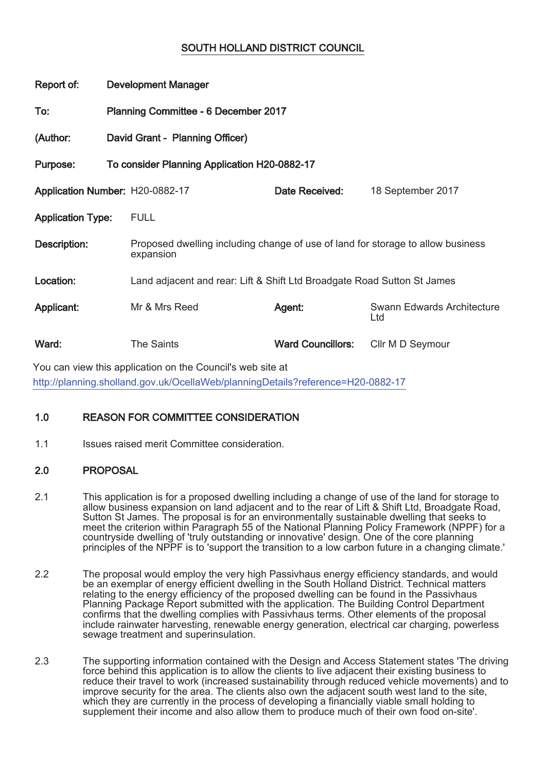# SOUTH HOLLAND DISTRICT COUNCIL

| Report of:                      | <b>Development Manager</b>                   |                                                                                              |                          |                                   |  |
|---------------------------------|----------------------------------------------|----------------------------------------------------------------------------------------------|--------------------------|-----------------------------------|--|
| To:                             | Planning Committee - 6 December 2017         |                                                                                              |                          |                                   |  |
| (Author:                        | David Grant - Planning Officer)              |                                                                                              |                          |                                   |  |
| Purpose:                        | To consider Planning Application H20-0882-17 |                                                                                              |                          |                                   |  |
| Application Number: H20-0882-17 |                                              |                                                                                              | Date Received:           | 18 September 2017                 |  |
| <b>Application Type:</b>        |                                              | <b>FULL</b>                                                                                  |                          |                                   |  |
| Description:                    |                                              | Proposed dwelling including change of use of land for storage to allow business<br>expansion |                          |                                   |  |
| Location:                       |                                              | Land adjacent and rear: Lift & Shift Ltd Broadgate Road Sutton St James                      |                          |                                   |  |
| Applicant:                      |                                              | Mr & Mrs Reed                                                                                | Agent:                   | Swann Edwards Architecture<br>Ltd |  |
| Ward:                           |                                              | <b>The Saints</b>                                                                            | <b>Ward Councillors:</b> | Cllr M D Seymour                  |  |
|                                 |                                              | You can view this application on the Council's web site at                                   |                          |                                   |  |

http://planning.sholland.gov.uk/OcellaWeb/planningDetails?reference=H20-0882-17

## 1.0 REASON FOR COMMITTEE CONSIDERATION

1.1 Issues raised merit Committee consideration.

### 2.0 PROPOSAL

- 2.1 This application is for a proposed dwelling including a change of use of the land for storage to allow business expansion on land adjacent and to the rear of Lift & Shift Ltd, Broadgate Road, Sutton St James. The proposal is for an environmentally sustainable dwelling that seeks to meet the criterion within Paragraph 55 of the National Planning Policy Framework (NPPF) for a countryside dwelling of 'truly outstanding or innovative' design. One of the core planning principles of the NPPF is to 'support the transition to a low carbon future in a changing climate.'
- 2.2 The proposal would employ the very high Passivhaus energy efficiency standards, and would be an exemplar of energy efficient dwelling in the South Holland District. Technical matters relating to the energy efficiency of the proposed dwelling can be found in the Passivhaus Planning Package Report submitted with the application. The Building Control Department confirms that the dwelling complies with Passivhaus terms. Other elements of the proposal include rainwater harvesting, renewable energy generation, electrical car charging, powerless sewage treatment and superinsulation.
- 2.3 The supporting information contained with the Design and Access Statement states 'The driving force behind this application is to allow the clients to live adjacent their existing business to reduce their travel to work (increased sustainability through reduced vehicle movements) and to improve security for the area. The clients also own the adjacent south west land to the site, which they are currently in the process of developing a financially viable small holding to supplement their income and also allow them to produce much of their own food on-site'.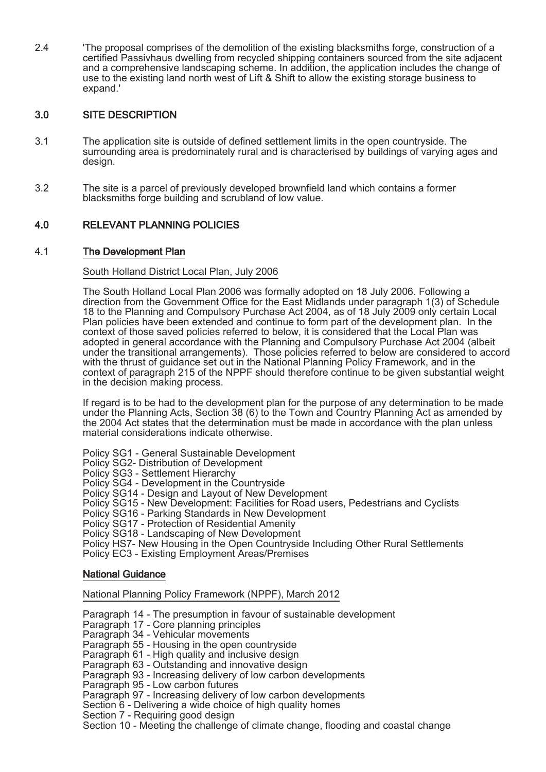2.4 'The proposal comprises of the demolition of the existing blacksmiths forge, construction of a certified Passivhaus dwelling from recycled shipping containers sourced from the site adjacent and a comprehensive landscaping scheme. In addition, the application includes the change of use to the existing land north west of Lift & Shift to allow the existing storage business to expand.'

## 3.0 SITE DESCRIPTION

- 3.1 The application site is outside of defined settlement limits in the open countryside. The surrounding area is predominately rural and is characterised by buildings of varying ages and design.
- 3.2 The site is a parcel of previously developed brownfield land which contains a former blacksmiths forge building and scrubland of low value.

## 4.0 RELEVANT PLANNING POLICIES

### 4.1 The Development Plan

#### South Holland District Local Plan, July 2006

The South Holland Local Plan 2006 was formally adopted on 18 July 2006. Following a direction from the Government Office for the East Midlands under paragraph 1(3) of Schedule 18 to the Planning and Compulsory Purchase Act 2004, as of 18 July 2009 only certain Local Plan policies have been extended and continue to form part of the development plan. In the context of those saved policies referred to below, it is considered that the Local Plan was adopted in general accordance with the Planning and Compulsory Purchase Act 2004 (albeit under the transitional arrangements). Those policies referred to below are considered to accord with the thrust of guidance set out in the National Planning Policy Framework, and in the context of paragraph 215 of the NPPF should therefore continue to be given substantial weight in the decision making process.

If regard is to be had to the development plan for the purpose of any determination to be made under the Planning Acts, Section 38 (6) to the Town and Country Planning Act as amended by the 2004 Act states that the determination must be made in accordance with the plan unless material considerations indicate otherwise.

Policy SG1 - General Sustainable Development

Policy SG2- Distribution of Development

Policy SG3 - Settlement Hierarchy

Policy SG4 - Development in the Countryside

Policy SG14 - Design and Layout of New Development

Policy SG15 - New Development: Facilities for Road users, Pedestrians and Cyclists

Policy SG16 - Parking Standards in New Development

Policy SG17 - Protection of Residential Amenity

Policy SG18 - Landscaping of New Development

Policy HS7- New Housing in the Open Countryside Including Other Rural Settlements

Policy EC3 - Existing Employment Areas/Premises

#### National Guidance

#### National Planning Policy Framework (NPPF), March 2012

Paragraph 14 - The presumption in favour of sustainable development

Paragraph 17 - Core planning principles

Paragraph 34 - Vehicular movements

Paragraph 55 - Housing in the open countryside

Paragraph 61 - High quality and inclusive design

Paragraph 63 - Outstanding and innovative design

Paragraph 93 - Increasing delivery of low carbon developments

Paragraph 95 - Low carbon futures

Paragraph 97 - Increasing delivery of low carbon developments

Section 6 - Delivering a wide choice of high quality homes

Section 7 - Requiring good design

Section 10 - Meeting the challenge of climate change, flooding and coastal change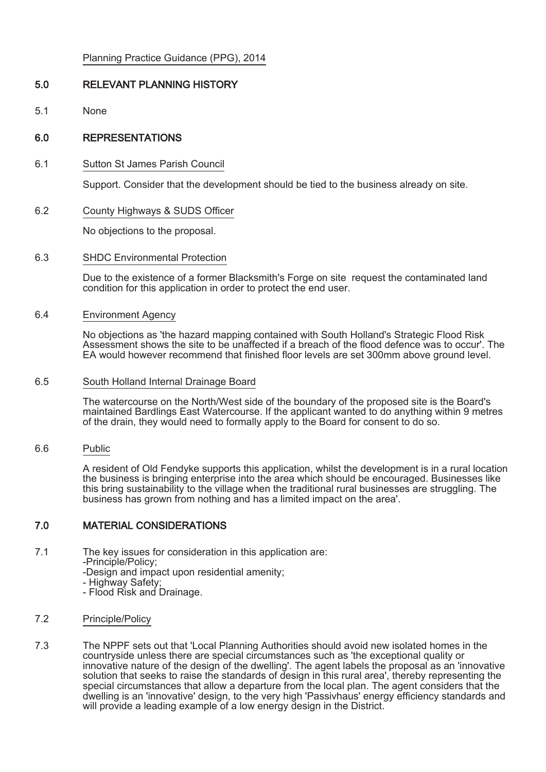Planning Practice Guidance (PPG), 2014

## 5.0 RELEVANT PLANNING HISTORY

5.1 None

## 6.0 REPRESENTATIONS

6.1 Sutton St James Parish Council

Support. Consider that the development should be tied to the business already on site.

6.2 County Highways & SUDS Officer

No objections to the proposal.

#### 6.3 SHDC Environmental Protection

Due to the existence of a former Blacksmith's Forge on site request the contaminated land condition for this application in order to protect the end user.

#### 6.4 Environment Agency

No objections as 'the hazard mapping contained with South Holland's Strategic Flood Risk Assessment shows the site to be unaffected if a breach of the flood defence was to occur'. The EA would however recommend that finished floor levels are set 300mm above ground level.

#### 6.5 South Holland Internal Drainage Board

The watercourse on the North/West side of the boundary of the proposed site is the Board's maintained Bardlings East Watercourse. If the applicant wanted to do anything within 9 metres of the drain, they would need to formally apply to the Board for consent to do so.

6.6 Public

A resident of Old Fendyke supports this application, whilst the development is in a rural location the business is bringing enterprise into the area which should be encouraged. Businesses like this bring sustainability to the village when the traditional rural businesses are struggling. The business has grown from nothing and has a limited impact on the area'.

### 7.0 MATERIAL CONSIDERATIONS

- 7.1 The key issues for consideration in this application are:
	- -Principle/Policy;
	- -Design and impact upon residential amenity;
	- Highway Safety;
	- Flood Risk and Drainage.

#### 7.2 Principle/Policy

7.3 The NPPF sets out that 'Local Planning Authorities should avoid new isolated homes in the countryside unless there are special circumstances such as 'the exceptional quality or innovative nature of the design of the dwelling'. The agent labels the proposal as an 'innovative solution that seeks to raise the standards of design in this rural area', thereby representing the special circumstances that allow a departure from the local plan. The agent considers that the dwelling is an 'innovative' design, to the very high 'Passivhaus' energy efficiency standards and will provide a leading example of a low energy design in the District.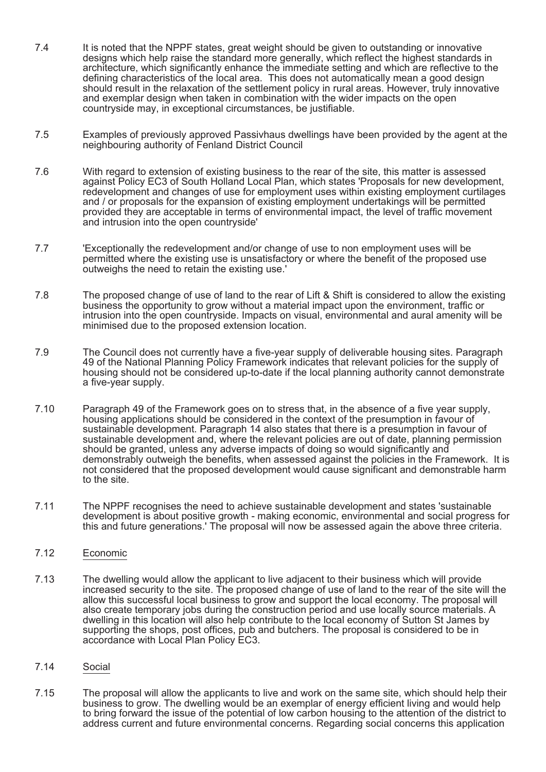- 7.4 It is noted that the NPPF states, great weight should be given to outstanding or innovative designs which help raise the standard more generally, which reflect the highest standards in architecture, which significantly enhance the immediate setting and which are reflective to the defining characteristics of the local area. This does not automatically mean a good design should result in the relaxation of the settlement policy in rural areas. However, truly innovative and exemplar design when taken in combination with the wider impacts on the open countryside may, in exceptional circumstances, be justifiable.
- 7.5 Examples of previously approved Passivhaus dwellings have been provided by the agent at the neighbouring authority of Fenland District Council
- 7.6 With regard to extension of existing business to the rear of the site, this matter is assessed against Policy EC3 of South Holland Local Plan, which states 'Proposals for new development, redevelopment and changes of use for employment uses within existing employment curtilages and / or proposals for the expansion of existing employment undertakings will be permitted provided they are acceptable in terms of environmental impact, the level of traffic movement and intrusion into the open countryside'
- 7.7 'Exceptionally the redevelopment and/or change of use to non employment uses will be permitted where the existing use is unsatisfactory or where the benefit of the proposed use outweighs the need to retain the existing use.'
- 7.8 The proposed change of use of land to the rear of Lift & Shift is considered to allow the existing business the opportunity to grow without a material impact upon the environment, traffic or intrusion into the open countryside. Impacts on visual, environmental and aural amenity will be minimised due to the proposed extension location.
- 7.9 The Council does not currently have a five-year supply of deliverable housing sites. Paragraph 49 of the National Planning Policy Framework indicates that relevant policies for the supply of housing should not be considered up-to-date if the local planning authority cannot demonstrate a five-year supply.
- 7.10 Paragraph 49 of the Framework goes on to stress that, in the absence of a five year supply, housing applications should be considered in the context of the presumption in favour of sustainable development. Paragraph 14 also states that there is a presumption in favour of sustainable development and, where the relevant policies are out of date, planning permission should be granted, unless any adverse impacts of doing so would significantly and demonstrably outweigh the benefits, when assessed against the policies in the Framework. It is not considered that the proposed development would cause significant and demonstrable harm to the site.
- 7.11 The NPPF recognises the need to achieve sustainable development and states 'sustainable development is about positive growth - making economic, environmental and social progress for this and future generations.' The proposal will now be assessed again the above three criteria.

#### 7.12 Economic

- 7.13 The dwelling would allow the applicant to live adjacent to their business which will provide increased security to the site. The proposed change of use of land to the rear of the site will the allow this successful local business to grow and support the local economy. The proposal will also create temporary jobs during the construction period and use locally source materials. A dwelling in this location will also help contribute to the local economy of Sutton St James by supporting the shops, post offices, pub and butchers. The proposal is considered to be in accordance with Local Plan Policy EC3.
- 7.14 Social
- 7.15 The proposal will allow the applicants to live and work on the same site, which should help their business to grow. The dwelling would be an exemplar of energy efficient living and would help to bring forward the issue of the potential of low carbon housing to the attention of the district to address current and future environmental concerns. Regarding social concerns this application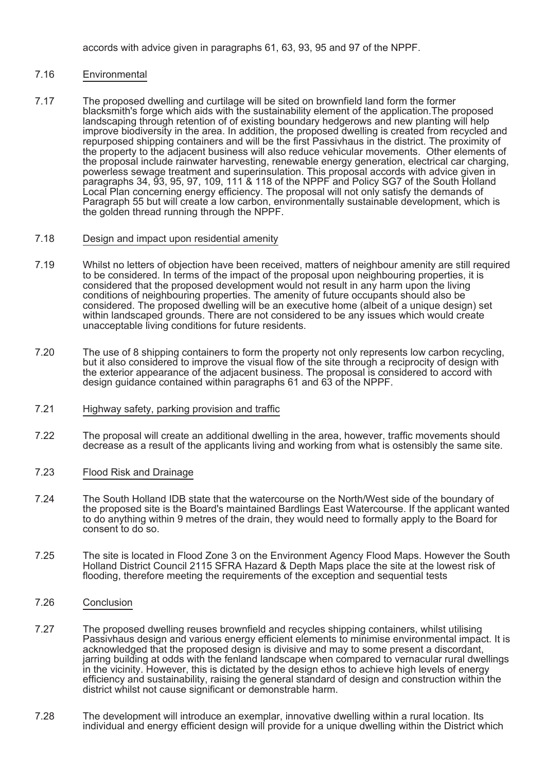accords with advice given in paragraphs 61, 63, 93, 95 and 97 of the NPPF.

### 7.16 Environmental

7.17 The proposed dwelling and curtilage will be sited on brownfield land form the former blacksmith's forge which aids with the sustainability element of the application.The proposed landscaping through retention of of existing boundary hedgerows and new planting will help improve biodiversity in the area. In addition, the proposed dwelling is created from recycled and repurposed shipping containers and will be the first Passivhaus in the district. The proximity of the property to the adjacent business will also reduce vehicular movements. Other elements of the proposal include rainwater harvesting, renewable energy generation, electrical car charging, powerless sewage treatment and superinsulation. This proposal accords with advice given in paragraphs 34, 93, 95, 97, 109, 111 & 118 of the NPPF and Policy SG7 of the South Holland Local Plan concerning energy efficiency. The proposal will not only satisfy the demands of Paragraph 55 but will create a low carbon, environmentally sustainable development, which is the golden thread running through the NPPF.

#### 7.18 Design and impact upon residential amenity

- 7.19 Whilst no letters of objection have been received, matters of neighbour amenity are still required to be considered. In terms of the impact of the proposal upon neighbouring properties, it is considered that the proposed development would not result in any harm upon the living conditions of neighbouring properties. The amenity of future occupants should also be considered. The proposed dwelling will be an executive home (albeit of a unique design) set within landscaped grounds. There are not considered to be any issues which would create unacceptable living conditions for future residents.
- 7.20 The use of 8 shipping containers to form the property not only represents low carbon recycling, but it also considered to improve the visual flow of the site through a reciprocity of design with the exterior appearance of the adjacent business. The proposal is considered to accord with design guidance contained within paragraphs 61 and 63 of the NPPF.
- 7.21 Highway safety, parking provision and traffic
- 7.22 The proposal will create an additional dwelling in the area, however, traffic movements should decrease as a result of the applicants living and working from what is ostensibly the same site.
- 7.23 Flood Risk and Drainage
- 7.24 The South Holland IDB state that the watercourse on the North/West side of the boundary of the proposed site is the Board's maintained Bardlings East Watercourse. If the applicant wanted to do anything within 9 metres of the drain, they would need to formally apply to the Board for consent to do so.
- 7.25 The site is located in Flood Zone 3 on the Environment Agency Flood Maps. However the South Holland District Council 2115 SFRA Hazard & Depth Maps place the site at the lowest risk of flooding, therefore meeting the requirements of the exception and sequential tests
- 7.26 Conclusion
- 7.27 The proposed dwelling reuses brownfield and recycles shipping containers, whilst utilising Passivhaus design and various energy efficient elements to minimise environmental impact. It is acknowledged that the proposed design is divisive and may to some present a discordant, jarring building at odds with the fenland landscape when compared to vernacular rural dwellings in the vicinity. However, this is dictated by the design ethos to achieve high levels of energy efficiency and sustainability, raising the general standard of design and construction within the district whilst not cause significant or demonstrable harm.
- 7.28 The development will introduce an exemplar, innovative dwelling within a rural location. Its individual and energy efficient design will provide for a unique dwelling within the District which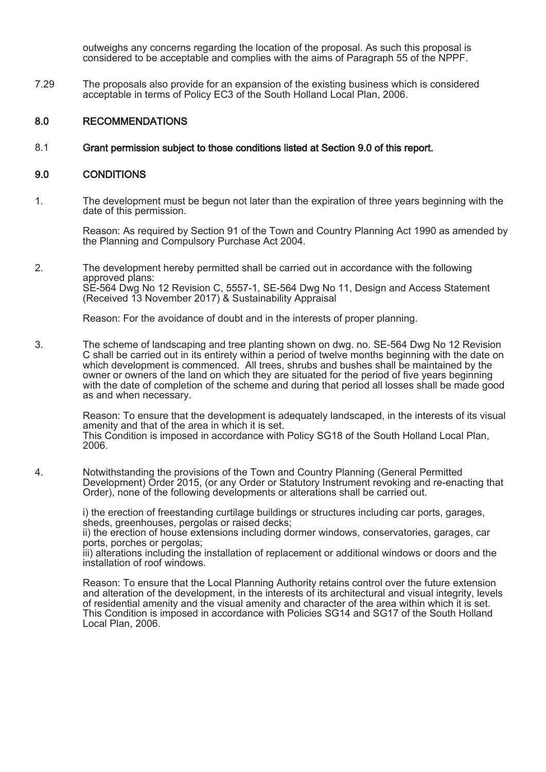outweighs any concerns regarding the location of the proposal. As such this proposal is considered to be acceptable and complies with the aims of Paragraph 55 of the NPPF.

7.29 The proposals also provide for an expansion of the existing business which is considered acceptable in terms of Policy EC3 of the South Holland Local Plan, 2006.

#### 8.0 RECOMMENDATIONS

#### 8.1 Grant permission subject to those conditions listed at Section 9.0 of this report.

#### 9.0 CONDITIONS

1. The development must be begun not later than the expiration of three years beginning with the date of this permission.

Reason: As required by Section 91 of the Town and Country Planning Act 1990 as amended by the Planning and Compulsory Purchase Act 2004.

2. The development hereby permitted shall be carried out in accordance with the following approved plans: SE-564 Dwg No 12 Revision C, 5557-1, SE-564 Dwg No 11, Design and Access Statement (Received 13 November 2017) & Sustainability Appraisal

Reason: For the avoidance of doubt and in the interests of proper planning.

3. The scheme of landscaping and tree planting shown on dwg. no. SE-564 Dwg No 12 Revision C shall be carried out in its entirety within a period of twelve months beginning with the date on which development is commenced. All trees, shrubs and bushes shall be maintained by the owner or owners of the land on which they are situated for the period of five years beginning with the date of completion of the scheme and during that period all losses shall be made good as and when necessary.

> Reason: To ensure that the development is adequately landscaped, in the interests of its visual amenity and that of the area in which it is set. This Condition is imposed in accordance with Policy SG18 of the South Holland Local Plan, 2006.

4. Notwithstanding the provisions of the Town and Country Planning (General Permitted Development) Order 2015, (or any Order or Statutory Instrument revoking and re-enacting that Order), none of the following developments or alterations shall be carried out.

i) the erection of freestanding curtilage buildings or structures including car ports, garages, sheds, greenhouses, pergolas or raised decks;

ii) the erection of house extensions including dormer windows, conservatories, garages, car ports, porches or pergolas;

iii) alterations including the installation of replacement or additional windows or doors and the installation of roof windows.

Reason: To ensure that the Local Planning Authority retains control over the future extension and alteration of the development, in the interests of its architectural and visual integrity, levels of residential amenity and the visual amenity and character of the area within which it is set. This Condition is imposed in accordance with Policies SG14 and SG17 of the South Holland Local Plan, 2006.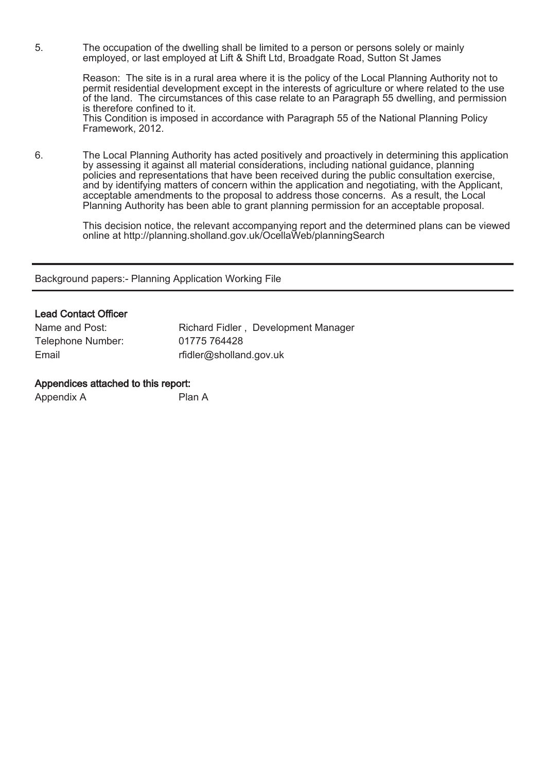5. The occupation of the dwelling shall be limited to a person or persons solely or mainly employed, or last employed at Lift & Shift Ltd, Broadgate Road, Sutton St James

> Reason: The site is in a rural area where it is the policy of the Local Planning Authority not to permit residential development except in the interests of agriculture or where related to the use of the land. The circumstances of this case relate to an Paragraph 55 dwelling, and permission is therefore confined to it.

This Condition is imposed in accordance with Paragraph 55 of the National Planning Policy Framework, 2012.

6. The Local Planning Authority has acted positively and proactively in determining this application by assessing it against all material considerations, including national guidance, planning policies and representations that have been received during the public consultation exercise, and by identifying matters of concern within the application and negotiating, with the Applicant, acceptable amendments to the proposal to address those concerns. As a result, the Local Planning Authority has been able to grant planning permission for an acceptable proposal.

This decision notice, the relevant accompanying report and the determined plans can be viewed online at http://planning.sholland.gov.uk/OcellaWeb/planningSearch

Background papers:- Planning Application Working File

### Lead Contact Officer

| Name and Post:    | Richard Fidler, Development Manager |
|-------------------|-------------------------------------|
| Telephone Number: | 01775 764428                        |
| Email             | rfidler@sholland.gov.uk             |

#### Appendices attached to this report:

| Appendix A | Plan A |
|------------|--------|
|------------|--------|